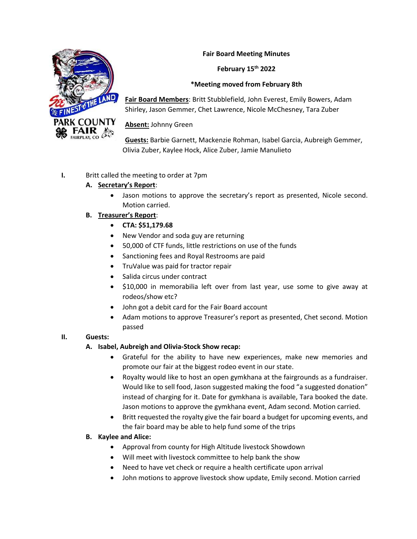

# **Fair Board Meeting Minutes**

### **February 15th 2022**

### **\*Meeting moved from February 8th**

**Fair Board Members**: Britt Stubblefield, John Everest, Emily Bowers, Adam Shirley, Jason Gemmer, Chet Lawrence, Nicole McChesney, Tara Zuber

### **Absent:** Johnny Green

**Guests:** Barbie Garnett, Mackenzie Rohman, Isabel Garcia, Aubreigh Gemmer, Olivia Zuber, Kaylee Hock, Alice Zuber, Jamie Manulieto

### **I.** Britt called the meeting to order at 7pm

### **A. Secretary's Report**:

• Jason motions to approve the secretary's report as presented, Nicole second. Motion carried.

### **B. Treasurer's Report**:

- **CTA: \$51,179.68**
- New Vendor and soda guy are returning
- 50,000 of CTF funds, little restrictions on use of the funds
- Sanctioning fees and Royal Restrooms are paid
- TruValue was paid for tractor repair
- Salida circus under contract
- \$10,000 in memorabilia left over from last year, use some to give away at rodeos/show etc?
- John got a debit card for the Fair Board account
- Adam motions to approve Treasurer's report as presented, Chet second. Motion passed

# **II. Guests:**

#### **A. Isabel, Aubreigh and Olivia-Stock Show recap:**

- Grateful for the ability to have new experiences, make new memories and promote our fair at the biggest rodeo event in our state.
- Royalty would like to host an open gymkhana at the fairgrounds as a fundraiser. Would like to sell food, Jason suggested making the food "a suggested donation" instead of charging for it. Date for gymkhana is available, Tara booked the date. Jason motions to approve the gymkhana event, Adam second. Motion carried.
- Britt requested the royalty give the fair board a budget for upcoming events, and the fair board may be able to help fund some of the trips

#### **B. Kaylee and Alice:**

- Approval from county for High Altitude livestock Showdown
- Will meet with livestock committee to help bank the show
- Need to have vet check or require a health certificate upon arrival
- John motions to approve livestock show update, Emily second. Motion carried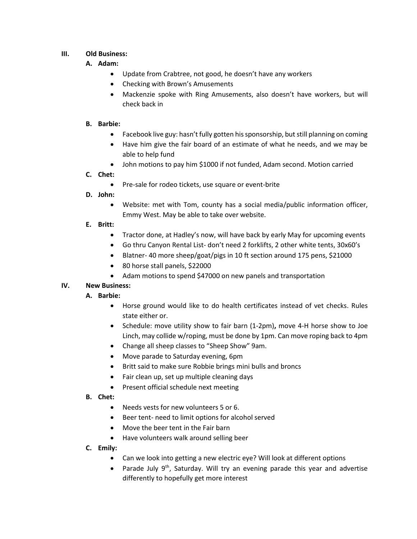### **III. Old Business:**

### **A. Adam:**

- Update from Crabtree, not good, he doesn't have any workers
- Checking with Brown's Amusements
- Mackenzie spoke with Ring Amusements, also doesn't have workers, but will check back in

#### **B. Barbie:**

- Facebook live guy: hasn't fully gotten his sponsorship, but still planning on coming
- Have him give the fair board of an estimate of what he needs, and we may be able to help fund
- John motions to pay him \$1000 if not funded, Adam second. Motion carried

### **C. Chet:**

- Pre-sale for rodeo tickets, use square or event-brite
- **D. John:** 
	- Website: met with Tom, county has a social media/public information officer, Emmy West. May be able to take over website.
- **E. Britt:** 
	- Tractor done, at Hadley's now, will have back by early May for upcoming events
	- Go thru Canyon Rental List- don't need 2 forklifts, 2 other white tents, 30x60's
	- Blatner- 40 more sheep/goat/pigs in 10 ft section around 175 pens, \$21000
	- 80 horse stall panels, \$22000
	- Adam motions to spend \$47000 on new panels and transportation

# **IV. New Business:**

# **A. Barbie:**

- Horse ground would like to do health certificates instead of vet checks. Rules state either or.
- Schedule: move utility show to fair barn (1-2pm)**,** move 4-H horse show to Joe Linch, may collide w/roping, must be done by 1pm. Can move roping back to 4pm
- Change all sheep classes to "Sheep Show" 9am.
- Move parade to Saturday evening, 6pm
- Britt said to make sure Robbie brings mini bulls and broncs
- Fair clean up, set up multiple cleaning days
- Present official schedule next meeting
- **B. Chet:** 
	- Needs vests for new volunteers 5 or 6.
	- Beer tent- need to limit options for alcohol served
	- Move the beer tent in the Fair barn
	- Have volunteers walk around selling beer
- **C. Emily:** 
	- Can we look into getting a new electric eye? Will look at different options
	- Parade July 9<sup>th</sup>, Saturday. Will try an evening parade this year and advertise differently to hopefully get more interest